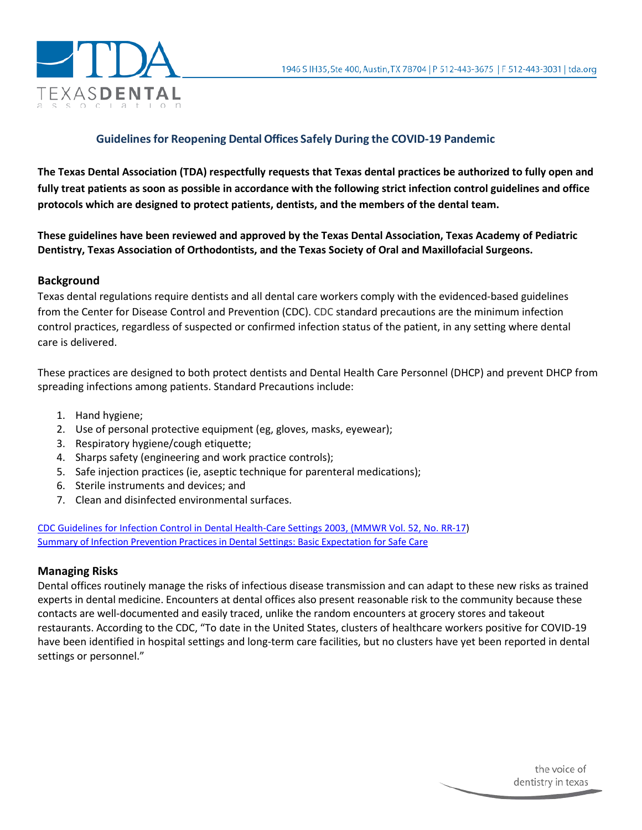

# **Guidelinesfor Reopening Dental Offices Safely During the COVID-19 Pandemic**

**The Texas Dental Association (TDA) respectfully requests that Texas dental practices be authorized to fully open and fully treat patients as soon as possible in accordance with the following strict infection control guidelines and office protocols which are designed to protect patients, dentists, and the members of the dental team.** 

**These guidelines have been reviewed and approved by the Texas Dental Association, Texas Academy of Pediatric Dentistry, Texas Association of Orthodontists, and the Texas Society of Oral and Maxillofacial Surgeons.**

### **Background**

Texas dental regulations require dentists and all dental care workers comply with the evidenced-based guidelines from the Center for Disease Control and Prevention (CDC). CDC standard precautions are the minimum infection control practices, regardless of suspected or confirmed infection status of the patient, in any setting where dental care is delivered.

These practices are designed to both protect dentists and Dental Health Care Personnel (DHCP) and prevent DHCP from spreading infections among patients. Standard Precautions include:

- 1. Hand hygiene;
- 2. Use of personal protective equipment (eg, gloves, masks, eyewear);
- 3. Respiratory hygiene/cough etiquette;
- 4. Sharps safety (engineering and work practice controls);
- 5. Safe injection practices (ie, aseptic technique for parenteral medications);
- 6. Sterile instruments and devices; and
- 7. Clean and disinfected environmental surfaces.

[CDC Guidelines for Infection Control in Dental Health-Care Settings 2003, \(MMWR Vol. 52, No. RR-17\)](https://www.cdc.gov/mmwr/PDF/rr/rr5217.pdf) Summary of Infection Prevention Practices in Dental [Settings: Basic Expectation for Safe Care](https://www.cdc.gov/oralhealth/infectioncontrol/pdf/safe-care2.pdf)

### **Managing Risks**

Dental offices routinely manage the risks of infectious disease transmission and can adapt to these new risks as trained experts in dental medicine. Encounters at dental offices also present reasonable risk to the community because these contacts are well-documented and easily traced, unlike the random encounters at grocery stores and takeout restaurants. According to the CDC, "To date in the United States, clusters of healthcare workers positive for COVID-19 have been identified in hospital settings and long-term care facilities, but no clusters have yet been reported in dental settings or personnel."

> the voice of dentistry in texas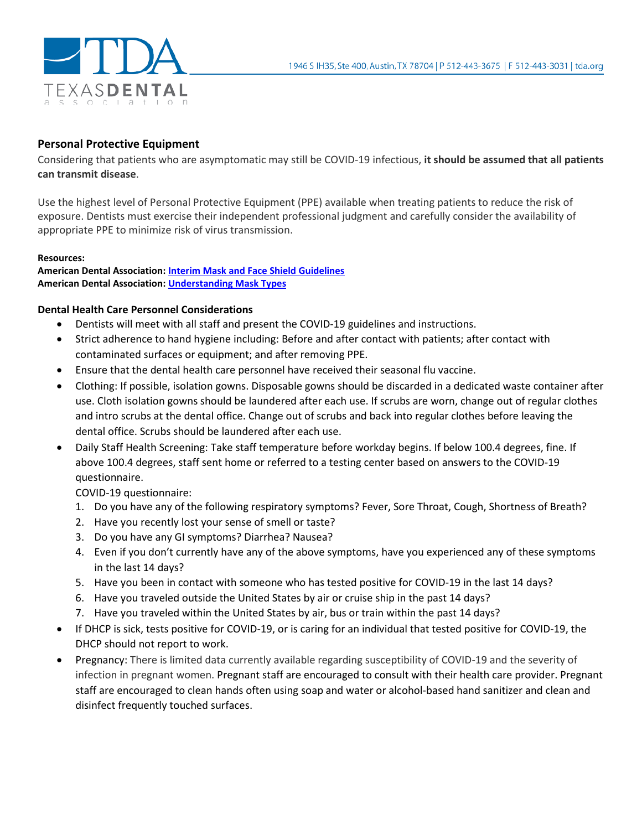

# **Personal Protective Equipment**

Considering that patients who are asymptomatic may still be COVID-19 infectious, **it should be assumed that all patients can transmit disease**.

Use the highest level of Personal Protective Equipment (PPE) available when treating patients to reduce the risk of exposure. Dentists must exercise their independent professional judgment and carefully consider the availability of appropriate PPE to minimize risk of virus transmission.

### **Resources:**

**American Dental Association[: Interim Mask and Face Shield Guidelines](https://success.ada.org/%7E/media/CPS/Files/COVID/ADA_Interim_Mask_and_Face_Shield_Guidelines.pdf?_ga=2.233298526.1514681722.1587401288-1586317503.1587144663) American Dental Association[: Understanding Mask Types](https://success.ada.org/%7E/media/CPS/Files/COVID/ADA_COVID19_UnderstandingMasks.pdf?utm_source=cpsorg&utm_medium=cpsalertbar&utm_content=cv-safety-maskchart&utm_campaign=covid-19)**

## **Dental Health Care Personnel Considerations**

- Dentists will meet with all staff and present the COVID-19 guidelines and instructions.
- Strict adherence to hand hygiene including: Before and after contact with patients; after contact with contaminated surfaces or equipment; and after removing PPE.
- Ensure that the dental health care personnel have received their seasonal flu vaccine.
- Clothing: If possible, isolation gowns. Disposable gowns should be discarded in a dedicated waste container after use. Cloth isolation gowns should be laundered after each use. If scrubs are worn, change out of regular clothes and intro scrubs at the dental office. Change out of scrubs and back into regular clothes before leaving the dental office. Scrubs should be laundered after each use.
- Daily Staff Health Screening: Take staff temperature before workday begins. If below 100.4 degrees, fine. If above 100.4 degrees, staff sent home or referred to a testing center based on answers to the COVID-19 questionnaire.

COVID-19 questionnaire:

- 1. Do you have any of the following respiratory symptoms? Fever, Sore Throat, Cough, Shortness of Breath?
- 2. Have you recently lost your sense of smell or taste?
- 3. Do you have any GI symptoms? Diarrhea? Nausea?
- 4. Even if you don't currently have any of the above symptoms, have you experienced any of these symptoms in the last 14 days?
- 5. Have you been in contact with someone who has tested positive for COVID-19 in the last 14 days?
- 6. Have you traveled outside the United States by air or cruise ship in the past 14 days?
- 7. Have you traveled within the United States by air, bus or train within the past 14 days?
- If DHCP is sick, tests positive for COVID-19, or is caring for an individual that tested positive for COVID-19, the DHCP should not report to work.
- Pregnancy: There is limited data currently available regarding susceptibility of COVID-19 and the severity of infection in pregnant women. Pregnant staff are encouraged to consult with their health care provider. Pregnant staff are encouraged to clean hands often using soap and water or alcohol-based hand sanitizer and clean and disinfect frequently touched surfaces.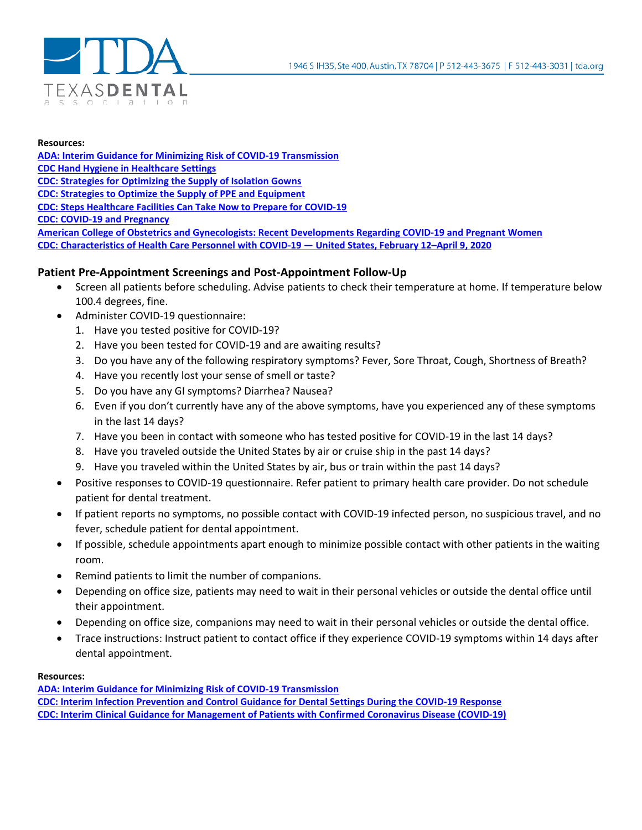

#### **Resources:**

**[ADA: Interim Guidance for Minimizing Risk of COVID-19 Transmission](https://www.ada.org/%7E/media/CPS/Files/COVID/ADA_COVID_Int_Guidance_Treat_Pts.pdf?utm_source=adaorg&utm_medium=covid-resources-lp&utm_content=cv-pm-ebd-interim-response&utm_campaign=covid-19?utm_source=adaorg&utm_medium=adanews&utm_content=cv-pm-ebd-interim-response&utm_campaign=covid-19) [CDC Hand Hygiene in Healthcare Settings](https://www.cdc.gov/handhygiene/providers/index.html) [CDC: Strategies for Optimizing the Supply of Isolation Gowns](https://www.cdc.gov/coronavirus/2019-ncov/hcp/ppe-strategy/isolation-gowns.html) [CDC: Strategies to Optimize the Supply of PPE and Equipment](https://www.cdc.gov/coronavirus/2019-ncov/hcp/ppe-strategy/index.html) [CDC: Steps Healthcare Facilities Can Take Now to Prepare for COVID-19](https://www.cdc.gov/coronavirus/2019-ncov/hcp/steps-to-prepare.html) [CDC: COVID-19 and Pregnancy](https://www.cdc.gov/coronavirus/2019-ncov/need-extra-precautions/pregnancy-breastfeeding.html) [American College of Obstetrics and Gynecologists: Recent Developments](https://www.acog.org/news/news-releases/2020/04/joint-statement-recent-developments-regarding-covid-19-and-pregnant-women) Regarding COVID-19 and Pregnant Women [CDC: Characteristics of Health Care Personnel with COVID-19 —](https://www.cdc.gov/mmwr/volumes/69/wr/mm6915e6.htm?s_cid=mm6915e6_x) United States, February 12–April 9, 2020**

## **Patient Pre-Appointment Screenings and Post-Appointment Follow-Up**

- Screen all patients before scheduling. Advise patients to check their temperature at home. If temperature below 100.4 degrees, fine.
- Administer COVID-19 questionnaire:
	- 1. Have you tested positive for COVID-19?
	- 2. Have you been tested for COVID-19 and are awaiting results?
	- 3. Do you have any of the following respiratory symptoms? Fever, Sore Throat, Cough, Shortness of Breath?
	- 4. Have you recently lost your sense of smell or taste?
	- 5. Do you have any GI symptoms? Diarrhea? Nausea?
	- 6. Even if you don't currently have any of the above symptoms, have you experienced any of these symptoms in the last 14 days?
	- 7. Have you been in contact with someone who has tested positive for COVID-19 in the last 14 days?
	- 8. Have you traveled outside the United States by air or cruise ship in the past 14 days?
	- 9. Have you traveled within the United States by air, bus or train within the past 14 days?
- Positive responses to COVID-19 questionnaire. Refer patient to primary health care provider. Do not schedule patient for dental treatment.
- If patient reports no symptoms, no possible contact with COVID-19 infected person, no suspicious travel, and no fever, schedule patient for dental appointment.
- If possible, schedule appointments apart enough to minimize possible contact with other patients in the waiting room.
- Remind patients to limit the number of companions.
- Depending on office size, patients may need to wait in their personal vehicles or outside the dental office until their appointment.
- Depending on office size, companions may need to wait in their personal vehicles or outside the dental office.
- Trace instructions: Instruct patient to contact office if they experience COVID-19 symptoms within 14 days after dental appointment.

#### **Resources:**

**[ADA: Interim Guidance for Minimizing Risk of COVID-19 Transmission](https://www.ada.org/%7E/media/CPS/Files/COVID/ADA_COVID_Int_Guidance_Treat_Pts.pdf?utm_source=adaorg&utm_medium=covid-resources-lp&utm_content=cv-pm-ebd-interim-response&utm_campaign=covid-19?utm_source=adaorg&utm_medium=adanews&utm_content=cv-pm-ebd-interim-response&utm_campaign=covid-19) [CDC: Interim Infection Prevention and Control Guidance for Dental Settings During the COVID-19 Response](https://www.cdc.gov/coronavirus/2019-ncov/hcp/dental-settings.html?fbclid=IwAR3xNaDAdgt6ra9phmwsw-8ArYvV5OBLZlDe_M4cDeRQmIAnNbqG_AKltOs) [CDC: Interim Clinical Guidance for Management of Patients with Confirmed Coronavirus Disease \(COVID-19\)](https://www.cdc.gov/coronavirus/2019-ncov/hcp/clinical-guidance-management-patients.html#Asymptomatic)**